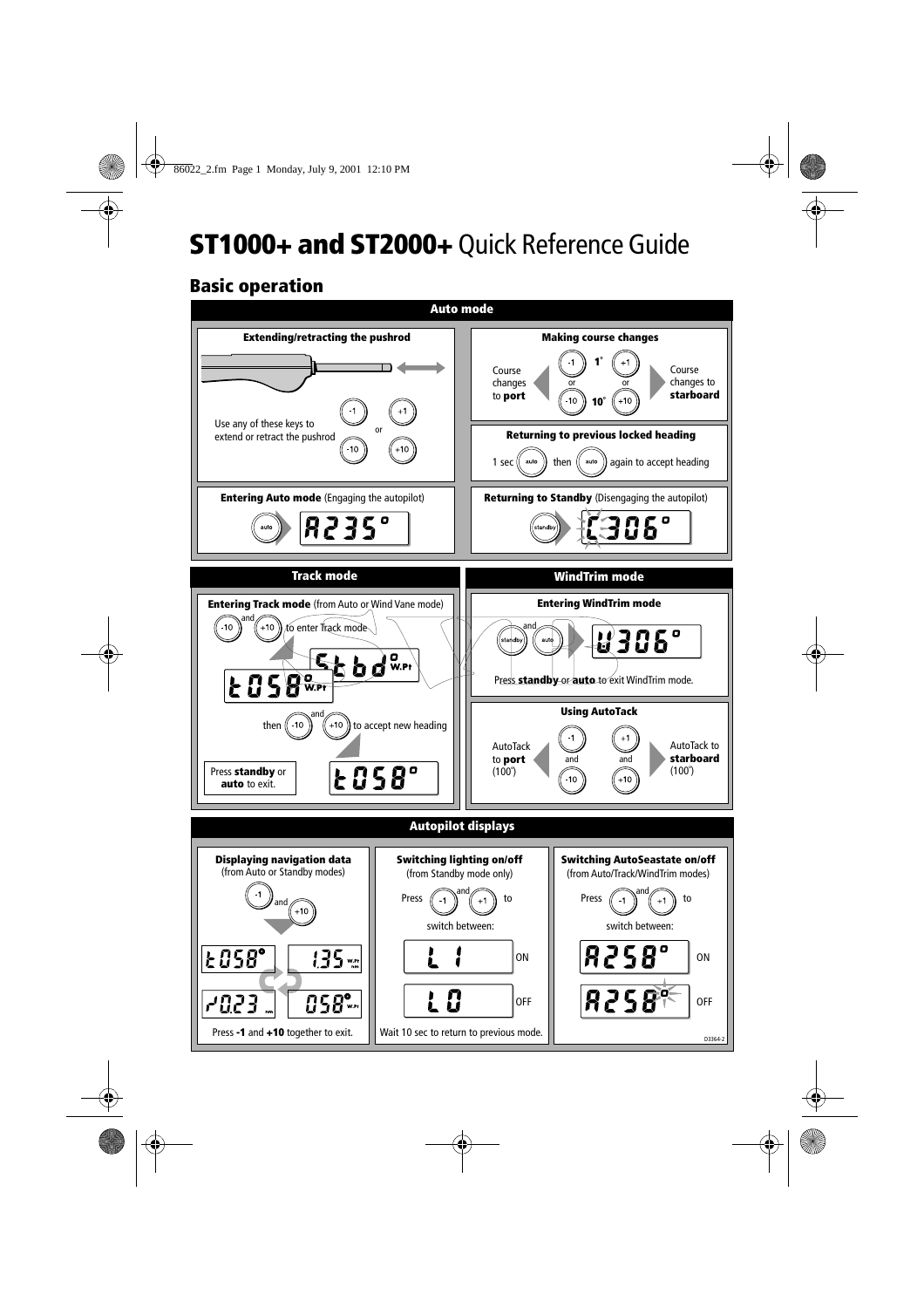## **ST1000+ and ST2000+** Quick Reference Guide

## **Basic operation**